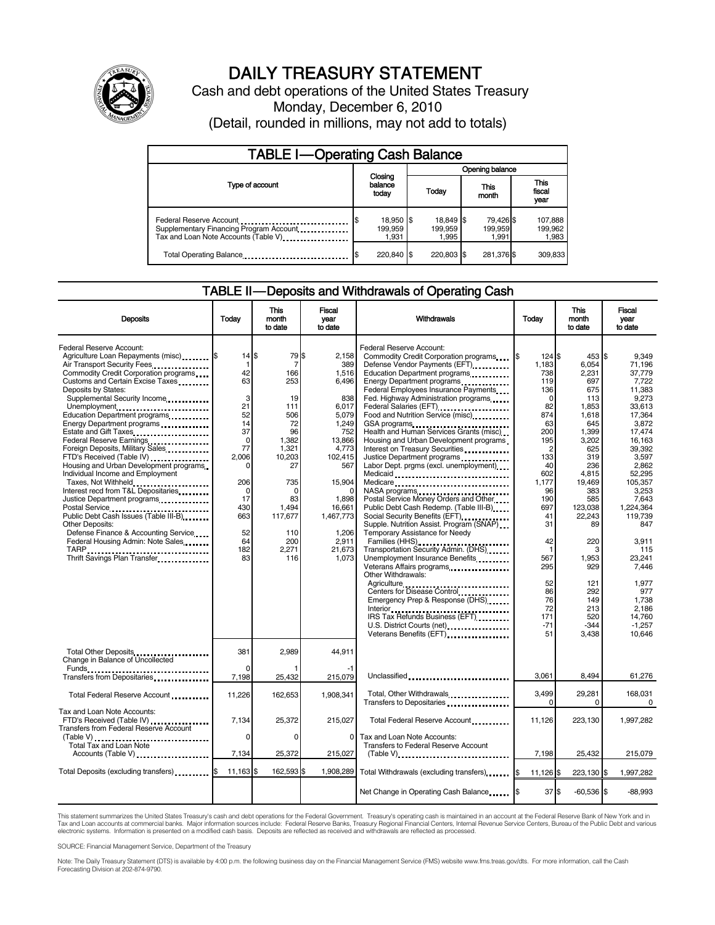

# DAILY TREASURY STATEMENT

Cash and debt operations of the United States Treasury Monday, December 6, 2010 (Detail, rounded in millions, may not add to totals)

| <b>TABLE I-Operating Cash Balance</b>                                                                      |                                      |                               |                               |                             |  |  |  |
|------------------------------------------------------------------------------------------------------------|--------------------------------------|-------------------------------|-------------------------------|-----------------------------|--|--|--|
|                                                                                                            |                                      | Opening balance               |                               |                             |  |  |  |
| Type of account                                                                                            | Closing<br>balance<br>today          | Today                         | This<br>month                 | This<br>fiscal<br>year      |  |  |  |
| Federal Reserve Account<br>Supplementary Financing Program Account<br>Tax and Loan Note Accounts (Table V) | 18,950 \$<br>l\$<br>199,959<br>1.931 | 18,849 \$<br>199.959<br>1.995 | 79,426 \$<br>199,959<br>1,991 | 107,888<br>199,962<br>1,983 |  |  |  |
| Total Operating Balance                                                                                    | 220,840 \$                           | 220.803 \$                    | 281,376 \$                    | 309,833                     |  |  |  |

#### TABLE II — Deposits and Withdrawals of Operating Cash

| <b>Deposits</b>                                                                                                                                                                                                                                                                                                                                                                                                                                                                                                                                                                                                                                                                                                                                                                                                                                                         | Todav                                                                                                                                                              | <b>This</b><br>month<br>to date                                                                                                                                       | <b>Fiscal</b><br>year<br>to date                                                                                                                                                            | Withdrawals                                                                                                                                                                                                                                                                                                                                                                                                                                                                                                                                                                                                                                                                                                                                                                                                                                                                                                                                                                                                                                                                                                                                                                     | Today                                                                                                                                                                                                                                     | <b>This</b><br>month<br>to date                                                                                                                                                                                                                             | Fiscal<br>vear<br>to date                                                                                                                                                                                                                                                                                     |
|-------------------------------------------------------------------------------------------------------------------------------------------------------------------------------------------------------------------------------------------------------------------------------------------------------------------------------------------------------------------------------------------------------------------------------------------------------------------------------------------------------------------------------------------------------------------------------------------------------------------------------------------------------------------------------------------------------------------------------------------------------------------------------------------------------------------------------------------------------------------------|--------------------------------------------------------------------------------------------------------------------------------------------------------------------|-----------------------------------------------------------------------------------------------------------------------------------------------------------------------|---------------------------------------------------------------------------------------------------------------------------------------------------------------------------------------------|---------------------------------------------------------------------------------------------------------------------------------------------------------------------------------------------------------------------------------------------------------------------------------------------------------------------------------------------------------------------------------------------------------------------------------------------------------------------------------------------------------------------------------------------------------------------------------------------------------------------------------------------------------------------------------------------------------------------------------------------------------------------------------------------------------------------------------------------------------------------------------------------------------------------------------------------------------------------------------------------------------------------------------------------------------------------------------------------------------------------------------------------------------------------------------|-------------------------------------------------------------------------------------------------------------------------------------------------------------------------------------------------------------------------------------------|-------------------------------------------------------------------------------------------------------------------------------------------------------------------------------------------------------------------------------------------------------------|---------------------------------------------------------------------------------------------------------------------------------------------------------------------------------------------------------------------------------------------------------------------------------------------------------------|
| Federal Reserve Account:<br>Agriculture Loan Repayments (misc) [\$<br>Air Transport Security Fees<br>Commodity Credit Corporation programs<br>Customs and Certain Excise Taxes<br>Deposits by States:<br>Supplemental Security Income<br>Unemployment<br>Education Department programs<br>Energy Department programs<br>Estate and Gift Taxes<br>Federal Reserve Earnings<br>Foreign Deposits, Military Sales.<br>FTD's Received (Table IV)<br>Housing and Urban Development programs<br>Individual Income and Employment<br>Taxes, Not Withheld<br>Interest recd from T&L Depositaries<br>Justice Department programs<br>Postal Service<br>Public Debt Cash Issues (Table III-B)<br><b>Other Deposits:</b><br>Defense Finance & Accounting Service<br>Federal Housing Admin: Note Sales<br>TARP<br>Thrift Savings Plan Transfer<br>1996 - Thrift Savings Plan Transfer | $14$ $$$<br>$\mathbf{1}$<br>42<br>63<br>3<br>21<br>52<br>14<br>37<br>$\mathbf 0$<br>77<br>2,006<br>206<br>$\mathbf 0$<br>17<br>430<br>663<br>52<br>64<br>182<br>83 | 79 \$<br>7<br>166<br>253<br>19<br>111<br>506<br>72<br>96<br>1,382<br>1,321<br>10,203<br>27<br>735<br>$\Omega$<br>83<br>1,494<br>117,677<br>110<br>200<br>2,271<br>116 | 2.158<br>389<br>1,516<br>6.496<br>838<br>6,017<br>5.079<br>1,249<br>752<br>13,866<br>4,773<br>102,415<br>567<br>15,904<br>1,898<br>16,661<br>1,467,773<br>1,206<br>2,911<br>21,673<br>1,073 | Federal Reserve Account:<br>Commodity Credit Corporation programs \$<br>Defense Vendor Payments (EFT)<br>Education Department programs<br>Energy Department programs<br>Federal Employees Insurance Payments<br>Fed. Highway Administration programs<br>Federal Salaries (EFT)<br>1999: 1999: 1999: 1999: 1999: 1999: 1999: 1999: 1999: 1999: 1999: 1999: 1999: 1999: 1999: 1999: 1999: 1999: 1<br>Food and Nutrition Service (misc) [100]<br>GSA programs<br>Health and Human Services Grants (misc)<br>Housing and Urban Development programs<br>Interest on Treasury Securities<br>Justice Department programs<br>Labor Dept. prgms (excl. unemployment)<br>Medicaid<br>Medicare<br>NASA programs<br>Postal Service Money Orders and Other<br>Public Debt Cash Redemp. (Table III-B)<br>Supple. Nutrition Assist. Program (SNAP)<br>Temporary Assistance for Needy<br>Transportation Security Admin. (DHS)<br>Unemployment Insurance Benefits<br>Veterans Affairs programs<br>Other Withdrawals:<br>Agriculture<br>Centers for Disease Control<br>Emergency Prep & Response (DHS)<br>IRS Tax Refunds Business (EFT)<br>U.S. District Courts (net)<br>Veterans Benefits (EFT) | 124S<br>1,183<br>738<br>119<br>136<br>0<br>82<br>874<br>63<br>200<br>195<br>$\overline{c}$<br>133<br>40<br>602<br>1,177<br>96<br>190<br>697<br>41<br>31<br>42<br>$\mathbf{1}$<br>567<br>295<br>52<br>86<br>76<br>72<br>171<br>$-71$<br>51 | 453 \$<br>6,054<br>2,231<br>697<br>675<br>113<br>1.853<br>1.618<br>645<br>1,399<br>3,202<br>625<br>319<br>236<br>4,815<br>19,469<br>383<br>585<br>123,038<br>22,243<br>89<br>220<br>3<br>1,953<br>929<br>121<br>292<br>149<br>213<br>520<br>$-344$<br>3,438 | 9.349<br>71.196<br>37.779<br>7.722<br>11.383<br>9.273<br>33.613<br>17.364<br>3,872<br>17,474<br>16.163<br>39,392<br>3,597<br>2.862<br>52,295<br>105,357<br>3.253<br>7.643<br>1,224,364<br>119,739<br>847<br>3,911<br>115<br>23,241<br>7,446<br>1.977<br>977<br>1,738<br>2.186<br>14,760<br>$-1,257$<br>10.646 |
| Total Other Deposits<br>Change in Balance of Uncollected                                                                                                                                                                                                                                                                                                                                                                                                                                                                                                                                                                                                                                                                                                                                                                                                                | 381                                                                                                                                                                | 2,989                                                                                                                                                                 | 44,911                                                                                                                                                                                      |                                                                                                                                                                                                                                                                                                                                                                                                                                                                                                                                                                                                                                                                                                                                                                                                                                                                                                                                                                                                                                                                                                                                                                                 |                                                                                                                                                                                                                                           |                                                                                                                                                                                                                                                             |                                                                                                                                                                                                                                                                                                               |
| Transfers from Depositaries                                                                                                                                                                                                                                                                                                                                                                                                                                                                                                                                                                                                                                                                                                                                                                                                                                             | $\Omega$<br>7,198                                                                                                                                                  | 25,432                                                                                                                                                                | 215,079                                                                                                                                                                                     | Unclassified                                                                                                                                                                                                                                                                                                                                                                                                                                                                                                                                                                                                                                                                                                                                                                                                                                                                                                                                                                                                                                                                                                                                                                    | 3.061                                                                                                                                                                                                                                     | 8.494                                                                                                                                                                                                                                                       | 61,276                                                                                                                                                                                                                                                                                                        |
| Total Federal Reserve Account                                                                                                                                                                                                                                                                                                                                                                                                                                                                                                                                                                                                                                                                                                                                                                                                                                           | 11,226                                                                                                                                                             | 162,653                                                                                                                                                               | 1,908,341                                                                                                                                                                                   | Total, Other Withdrawals                                                                                                                                                                                                                                                                                                                                                                                                                                                                                                                                                                                                                                                                                                                                                                                                                                                                                                                                                                                                                                                                                                                                                        | 3,499<br><sup>n</sup>                                                                                                                                                                                                                     | 29,281<br>0                                                                                                                                                                                                                                                 | 168,031<br>0                                                                                                                                                                                                                                                                                                  |
| Tax and Loan Note Accounts:<br>FTD's Received (Table IV)<br>Transfers from Federal Reserve Account                                                                                                                                                                                                                                                                                                                                                                                                                                                                                                                                                                                                                                                                                                                                                                      | 7,134<br>$\Omega$                                                                                                                                                  | 25,372<br>$\Omega$                                                                                                                                                    | 215,027<br>0                                                                                                                                                                                | Total Federal Reserve Account<br>Tax and Loan Note Accounts:                                                                                                                                                                                                                                                                                                                                                                                                                                                                                                                                                                                                                                                                                                                                                                                                                                                                                                                                                                                                                                                                                                                    | 11,126                                                                                                                                                                                                                                    | 223,130                                                                                                                                                                                                                                                     | 1,997,282                                                                                                                                                                                                                                                                                                     |
| Total Tax and Loan Note<br>Accounts (Table V)                                                                                                                                                                                                                                                                                                                                                                                                                                                                                                                                                                                                                                                                                                                                                                                                                           | 7,134                                                                                                                                                              | 25,372                                                                                                                                                                | 215,027                                                                                                                                                                                     | Transfers to Federal Reserve Account<br>$(Table V)$ ,                                                                                                                                                                                                                                                                                                                                                                                                                                                                                                                                                                                                                                                                                                                                                                                                                                                                                                                                                                                                                                                                                                                           | 7,198                                                                                                                                                                                                                                     | 25,432                                                                                                                                                                                                                                                      | 215,079                                                                                                                                                                                                                                                                                                       |
| Total Deposits (excluding transfers) [1994]                                                                                                                                                                                                                                                                                                                                                                                                                                                                                                                                                                                                                                                                                                                                                                                                                             | 11,163                                                                                                                                                             | 162,593 \$<br>ß.                                                                                                                                                      | 1,908,289                                                                                                                                                                                   | Total Withdrawals (excluding transfers)                                                                                                                                                                                                                                                                                                                                                                                                                                                                                                                                                                                                                                                                                                                                                                                                                                                                                                                                                                                                                                                                                                                                         | $11,126$ \$                                                                                                                                                                                                                               | 223,130 \$                                                                                                                                                                                                                                                  | 1,997,282                                                                                                                                                                                                                                                                                                     |
|                                                                                                                                                                                                                                                                                                                                                                                                                                                                                                                                                                                                                                                                                                                                                                                                                                                                         |                                                                                                                                                                    |                                                                                                                                                                       |                                                                                                                                                                                             | Net Change in Operating Cash Balance                                                                                                                                                                                                                                                                                                                                                                                                                                                                                                                                                                                                                                                                                                                                                                                                                                                                                                                                                                                                                                                                                                                                            | 37S                                                                                                                                                                                                                                       | $-60,536$ \$                                                                                                                                                                                                                                                | $-88,993$                                                                                                                                                                                                                                                                                                     |

This statement summarizes the United States Treasury's cash and debt operations for the Federal Government. Treasury's operating cash is maintained in an account at the Federal Reserve Bank of New York and in<br>Tax and Loan electronic systems. Information is presented on a modified cash basis. Deposits are reflected as received and withdrawals are reflected as processed.

SOURCE: Financial Management Service, Department of the Treasury

Note: The Daily Treasury Statement (DTS) is available by 4:00 p.m. the following business day on the Financial Management Service (FMS) website www.fms.treas.gov/dts. For more information, call the Cash Forecasting Division at 202-874-9790.